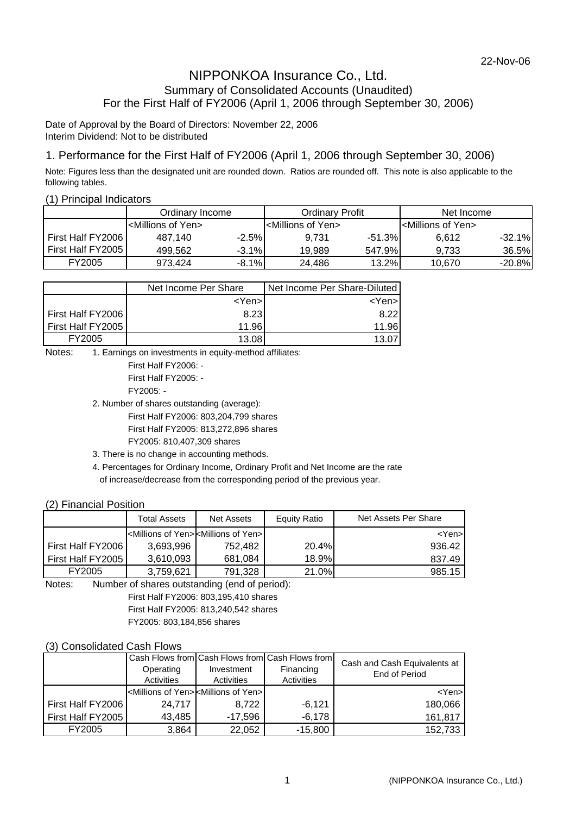### NIPPONKOA Insurance Co., Ltd. Summary of Consolidated Accounts (Unaudited) For the First Half of FY2006 (April 1, 2006 through September 30, 2006)

Date of Approval by the Board of Directors: November 22, 2006 Interim Dividend: Not to be distributed

### 1. Performance for the First Half of FY2006 (April 1, 2006 through September 30, 2006)

Note: Figures less than the designated unit are rounded down. Ratios are rounded off. This note is also applicable to the following tables.

#### (1) Principal Indicators

|                   | Ordinary Income                    |         | Ordinarv Profit                      |          | Net Income                           |          |  |
|-------------------|------------------------------------|---------|--------------------------------------|----------|--------------------------------------|----------|--|
|                   | <millions of="" yen=""></millions> |         | l <millions of="" yen=""></millions> |          | I <millions of="" yen=""></millions> |          |  |
| First Half FY2006 | 487.140                            | $-2.5%$ | 9.731                                | $-51.3%$ | 6.612                                | $-32.1%$ |  |
| First Half FY2005 | 499.562                            | $-3.1%$ | 19.989                               | 547.9%   | 9.733                                | 36.5%    |  |
| FY2005            | 973.424                            | $-8.1%$ | 24.486                               | 13.2%    | 10.670                               | $-20.8%$ |  |

|                   | Net Income Per Share | Net Income Per Share-Diluted |  |  |  |  |
|-------------------|----------------------|------------------------------|--|--|--|--|
|                   | <yen>l</yen>         | <yen>l</yen>                 |  |  |  |  |
| First Half FY2006 | 8.23                 | 8.22                         |  |  |  |  |
| First Half FY2005 | 11.96                | 11.96                        |  |  |  |  |
| FY2005            | 13.08                |                              |  |  |  |  |

Notes: 1. Earnings on investments in equity-method affiliates:

First Half FY2006: - First Half FY2005: - FY2005: -

2. Number of shares outstanding (average):

First Half FY2006: 803,204,799 shares

First Half FY2005: 813,272,896 shares

FY2005: 810,407,309 shares

3. There is no change in accounting methods.

4. Percentages for Ordinary Income, Ordinary Profit and Net Income are the rate of increase/decrease from the corresponding period of the previous year.

### (2) Financial Position

|                   | <b>Total Assets</b> | Net Assets                                                            | Equity Ratio | Net Assets Per Share |
|-------------------|---------------------|-----------------------------------------------------------------------|--------------|----------------------|
|                   |                     | <millions of="" yen=""><millions of="" yen="">I</millions></millions> |              | <yen></yen>          |
| First Half FY2006 | 3.693.996           | 752.482                                                               | 20.4%        | 936.42               |
| First Half FY2005 | 3.610.093           | 681.084                                                               | 18.9%l       | 837.49               |
| FY2005            | 3,759,621           | 791,328                                                               | 21.0%        | 985.15               |

Notes: Number of shares outstanding (end of period):

First Half FY2006: 803,195,410 shares

First Half FY2005: 813,240,542 shares

FY2005: 803,184,856 shares

### (3) Consolidated Cash Flows

|                   | Operating<br>Activities                                              | Investment<br>Activities | Cash Flows from Cash Flows from Cash Flows from<br>Financing<br>Activities | Cash and Cash Equivalents at<br>End of Period |
|-------------------|----------------------------------------------------------------------|--------------------------|----------------------------------------------------------------------------|-----------------------------------------------|
|                   | <millions of="" yen=""><millions of="" yen=""></millions></millions> |                          |                                                                            | <yen></yen>                                   |
| First Half FY2006 | 24.717                                                               | 8.722                    | -6.121                                                                     | 180,066                                       |
| First Half FY2005 | 43,485                                                               | $-17,596$                | -6,178                                                                     | 161,817                                       |
| FY2005            | 3,864                                                                | 22,052                   | $-15,800$                                                                  | 152,733                                       |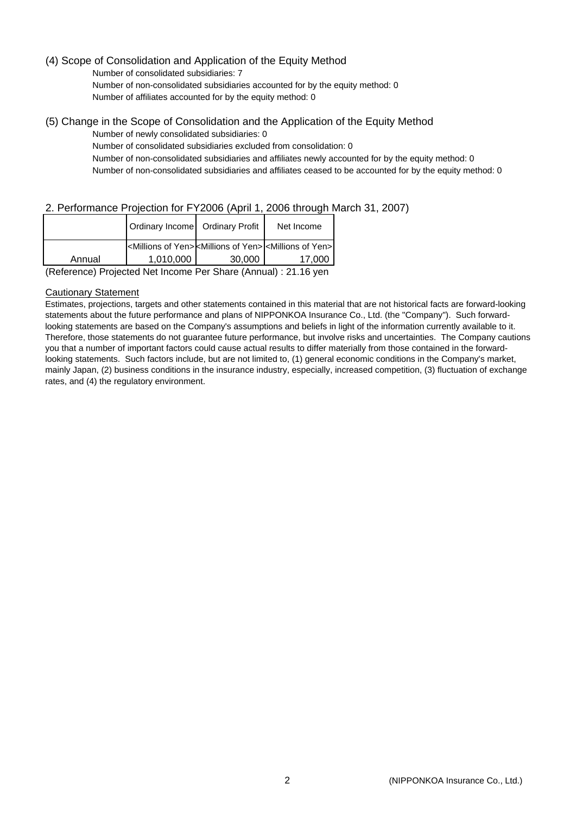### (4) Scope of Consolidation and Application of the Equity Method

Number of consolidated subsidiaries: 7 Number of non-consolidated subsidiaries accounted for by the equity method: 0 Number of affiliates accounted for by the equity method: 0

(5) Change in the Scope of Consolidation and the Application of the Equity Method

Number of newly consolidated subsidiaries: 0 Number of consolidated subsidiaries excluded from consolidation: 0 Number of non-consolidated subsidiaries and affiliates newly accounted for by the equity method: 0 Number of non-consolidated subsidiaries and affiliates ceased to be accounted for by the equity method: 0

# 2. Performance Projection for FY2006 (April 1, 2006 through March 31, 2007)

|        | Ordinary Income Ordinary Profit                                                                        |        | Net Income |  |
|--------|--------------------------------------------------------------------------------------------------------|--------|------------|--|
|        | <millions of="" yen=""><millions of="" yen=""><millions of="" yen=""></millions></millions></millions> |        |            |  |
| Annual | 1,010,000                                                                                              | 30,000 | 17.000     |  |
|        | .                                                                                                      | . .    | $\cdot$    |  |

(Reference) Projected Net Income Per Share (Annual) : 21.16 yen

#### Cautionary Statement

Estimates, projections, targets and other statements contained in this material that are not historical facts are forward-looking statements about the future performance and plans of NIPPONKOA Insurance Co., Ltd. (the "Company"). Such forwardlooking statements are based on the Company's assumptions and beliefs in light of the information currently available to it. Therefore, those statements do not guarantee future performance, but involve risks and uncertainties. The Company cautions you that a number of important factors could cause actual results to differ materially from those contained in the forwardlooking statements. Such factors include, but are not limited to, (1) general economic conditions in the Company's market, mainly Japan, (2) business conditions in the insurance industry, especially, increased competition, (3) fluctuation of exchange rates, and (4) the regulatory environment.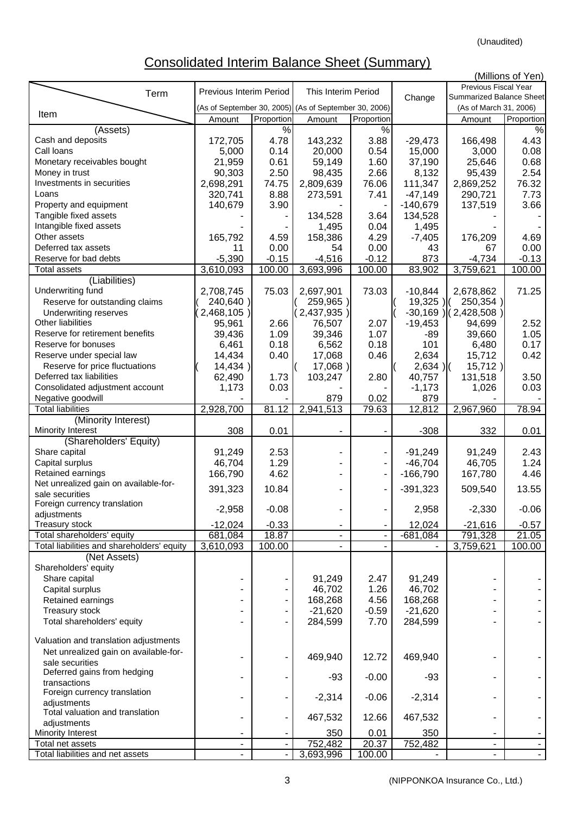(Unaudited)

# Consolidated Interim Balance Sheet (Summary)

|                                            |                         |                              |                                                       |                          |               |                          | (Millions of Yen) |
|--------------------------------------------|-------------------------|------------------------------|-------------------------------------------------------|--------------------------|---------------|--------------------------|-------------------|
|                                            | Previous Interim Period |                              | This Interim Period                                   |                          |               | Previous Fiscal Year     |                   |
| Term                                       |                         |                              |                                                       |                          | Change        | Summarized Balance Sheet |                   |
| Item                                       |                         |                              | (As of September 30, 2005) (As of September 30, 2006) |                          |               | (As of March 31, 2006)   |                   |
|                                            | Amount                  | Proportion                   | Amount                                                | Proportion               |               | Amount                   | Proportion        |
| (Assets)                                   |                         | $\frac{1}{6}$                |                                                       | $\frac{8}{6}$            |               |                          | $\frac{8}{6}$     |
| Cash and deposits                          | 172,705                 | 4.78                         | 143,232                                               | 3.88                     | $-29,473$     | 166,498                  | 4.43              |
| Call Ioans                                 | 5,000                   | 0.14                         | 20,000                                                | 0.54                     | 15,000        | 3,000                    | 0.08              |
| Monetary receivables bought                | 21,959                  | 0.61                         | 59,149                                                | 1.60                     | 37,190        | 25,646                   | 0.68              |
| Money in trust                             | 90,303                  | 2.50                         | 98,435                                                | 2.66                     | 8,132         | 95,439                   | 2.54              |
| Investments in securities                  | 2,698,291               | 74.75                        | 2,809,639                                             | 76.06                    | 111,347       | 2,869,252                | 76.32             |
| Loans                                      | 320,741                 | 8.88                         | 273,591                                               | 7.41                     | $-47,149$     | 290,721                  | 7.73              |
| Property and equipment                     | 140,679                 | 3.90                         |                                                       |                          | $-140,679$    | 137,519                  | 3.66              |
| Tangible fixed assets                      |                         |                              | 134,528                                               | 3.64                     | 134,528       |                          |                   |
| Intangible fixed assets                    |                         |                              | 1,495                                                 | 0.04                     | 1,495         |                          |                   |
| Other assets                               | 165,792                 | 4.59                         | 158,386                                               | 4.29                     | $-7,405$      | 176,209                  | 4.69              |
| Deferred tax assets                        | 11                      | 0.00                         | 54                                                    | 0.00                     | 43            | 67                       | 0.00              |
| Reserve for bad debts                      |                         |                              |                                                       |                          |               |                          |                   |
|                                            | $-5,390$                | $-0.15$                      | $-4,516$                                              | $-0.12$                  | 873           | $-4,734$                 | $-0.13$           |
| <b>Total assets</b>                        | 3,610,093               | 100.00                       | 3,693,996                                             | 100.00                   | 83,902        | 3,759,621                | 100.00            |
| (Liabilities)                              |                         |                              |                                                       |                          |               |                          |                   |
| Underwriting fund                          | 2,708,745               | 75.03                        | 2,697,901                                             | 73.03                    | $-10,844$     | 2,678,862                | 71.25             |
| Reserve for outstanding claims             | 240,640)                |                              | 259,965)                                              |                          | $19,325$ )    | 250,354)                 |                   |
| <b>Underwriting reserves</b>               | 2,468,105)              |                              | 2,437,935)                                            |                          |               | $-30,169$ ) (2,428,508)  |                   |
| Other liabilities                          | 95,961                  | 2.66                         | 76,507                                                | 2.07                     | $-19,453$     | 94,699                   | 2.52              |
| Reserve for retirement benefits            | 39,436                  | 1.09                         | 39,346                                                | 1.07                     | $-89$         | 39,660                   | 1.05              |
| Reserve for bonuses                        | 6,461                   | 0.18                         | 6,562                                                 | 0.18                     | 101           | 6,480                    | 0.17              |
| Reserve under special law                  | 14,434                  | 0.40                         | 17,068                                                | 0.46                     | 2,634         | 15,712                   | 0.42              |
|                                            |                         |                              |                                                       |                          |               |                          |                   |
| Reserve for price fluctuations             | 14,434)                 |                              | 17,068)                                               |                          | $2,634$ ) $($ | $15,712$ )               |                   |
| Deferred tax liabilities                   | 62,490                  | 1.73                         | 103,247                                               | 2.80                     | 40,757        | 131,518                  | 3.50              |
| Consolidated adjustment account            | 1,173                   | 0.03                         |                                                       |                          | $-1,173$      | 1,026                    | 0.03              |
| Negative goodwill                          |                         |                              | 879                                                   | 0.02                     | 879           |                          |                   |
| <b>Total liabilities</b>                   | 2,928,700               | 81.12                        | 2,941,513                                             | 79.63                    | 12,812        | 2,967,960                | 78.94             |
| (Minority Interest)                        |                         |                              |                                                       |                          |               |                          |                   |
| Minority Interest                          | 308                     | 0.01                         |                                                       |                          | $-308$        | 332                      | 0.01              |
| (Shareholders' Equity)                     |                         |                              |                                                       |                          |               |                          |                   |
| Share capital                              | 91,249                  | 2.53                         |                                                       |                          | $-91,249$     | 91,249                   | 2.43              |
| Capital surplus                            | 46,704                  | 1.29                         |                                                       |                          | $-46,704$     | 46,705                   | 1.24              |
| Retained earnings                          | 166,790                 | 4.62                         |                                                       | ÷                        | $-166,790$    | 167,780                  | 4.46              |
| Net unrealized gain on available-for-      |                         |                              |                                                       |                          |               |                          |                   |
| sale securities                            | 391,323                 | 10.84                        |                                                       | $\overline{\phantom{a}}$ | $-391,323$    | 509,540                  | 13.55             |
| Foreign currency translation               |                         |                              |                                                       |                          |               |                          |                   |
|                                            | $-2,958$                | $-0.08$                      |                                                       |                          | 2,958         | $-2,330$                 | $-0.06$           |
| adjustments                                |                         |                              |                                                       |                          |               |                          |                   |
| Treasury stock                             | $-12,024$               | $-0.33$                      |                                                       |                          | 12,024        | $-21,616$                | $-0.57$           |
| Total shareholders' equity                 | 681,084                 | 18.87                        | ۰                                                     |                          | $-681,084$    | 791,328                  | 21.05             |
| Total liabilities and shareholders' equity | 3,610,093               | 100.00                       |                                                       |                          |               | 3,759,621                | 100.00            |
| (Net Assets)                               |                         |                              |                                                       |                          |               |                          |                   |
| Shareholders' equity                       |                         |                              |                                                       |                          |               |                          |                   |
| Share capital                              |                         |                              | 91,249                                                | 2.47                     | 91,249        |                          |                   |
| Capital surplus                            |                         |                              | 46,702                                                | 1.26                     | 46,702        |                          |                   |
| Retained earnings                          |                         | $\qquad \qquad \blacksquare$ | 168,268                                               | 4.56                     | 168,268       |                          |                   |
| <b>Treasury stock</b>                      |                         | $\blacksquare$               | $-21,620$                                             | $-0.59$                  | $-21,620$     |                          |                   |
| Total shareholders' equity                 |                         |                              | 284,599                                               | 7.70                     | 284,599       |                          |                   |
|                                            |                         |                              |                                                       |                          |               |                          |                   |
| Valuation and translation adjustments      |                         |                              |                                                       |                          |               |                          |                   |
| Net unrealized gain on available-for-      |                         |                              |                                                       |                          |               |                          |                   |
| sale securities                            |                         |                              | 469,940                                               | 12.72                    | 469,940       |                          |                   |
| Deferred gains from hedging                |                         |                              |                                                       |                          |               |                          |                   |
|                                            |                         |                              | $-93$                                                 | $-0.00$                  | $-93$         |                          |                   |
| transactions                               |                         |                              |                                                       |                          |               |                          |                   |
| Foreign currency translation               |                         | ٠                            | $-2,314$                                              | $-0.06$                  | $-2,314$      |                          |                   |
| adjustments                                |                         |                              |                                                       |                          |               |                          |                   |
| Total valuation and translation            |                         |                              | 467,532                                               | 12.66                    | 467,532       |                          |                   |
| adjustments                                |                         |                              |                                                       |                          |               |                          |                   |
| Minority Interest                          |                         |                              | 350                                                   | 0.01                     | 350           |                          |                   |
| Total net assets                           | ÷,                      |                              | 752,482                                               | 20.37                    | 752,482       |                          |                   |
| Total liabilities and net assets           |                         |                              | 3,693,996                                             | 100.00                   |               |                          |                   |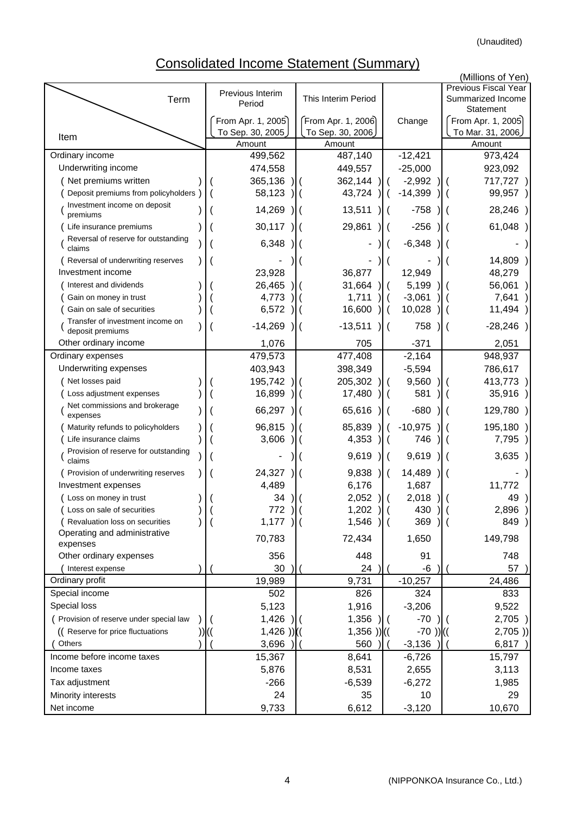# Consolidated Income Statement (Summary)

|                                                              |                                        |                          |                            |                 | (Millions of Yen)<br><b>Previous Fiscal Year</b> |
|--------------------------------------------------------------|----------------------------------------|--------------------------|----------------------------|-----------------|--------------------------------------------------|
| Term                                                         | Previous Interim<br>Period             | This Interim Period      |                            |                 | Summarized Income                                |
|                                                              |                                        | From Apr. 1, 2006)       |                            |                 | Statement<br>From Apr. 1, 2005)                  |
|                                                              | From Apr. 1, 2005)<br>To Sep. 30, 2005 | To Sep. 30, 2006         |                            | Change          | To Mar. 31, 2006                                 |
| Item                                                         | Amount                                 | Amount                   |                            |                 | Amount                                           |
| Ordinary income                                              | 499,562                                | 487,140                  |                            | $-12,421$       | 973,424                                          |
| Underwriting income                                          | 474,558                                | 449,557                  |                            | $-25,000$       | 923,092                                          |
| (Net premiums written                                        | 365,136                                | 362,144                  |                            | $-2,992$        | 717,727                                          |
| Deposit premiums from policyholders                          | 58,123                                 | 43,724                   |                            | $-14,399$       | 99,957)                                          |
| Investment income on deposit<br>premiums                     | 14,269                                 | 13,511                   |                            | $-758$          | 28,246)                                          |
| Life insurance premiums                                      | 30,117                                 | 29,861                   |                            | $-256$          | 61,048                                           |
| Reversal of reserve for outstanding<br>claims                | 6,348                                  |                          |                            | $-6,348$        |                                                  |
| Reversal of underwriting reserves                            |                                        |                          |                            |                 | 14,809)                                          |
| Investment income                                            | 23,928                                 | 36,877                   |                            | 12,949          | 48,279                                           |
| Interest and dividends                                       | 26,465                                 | 31,664                   |                            | 5,199           | 56,061                                           |
| Gain on money in trust                                       | 4,773                                  | 1,711                    |                            | $-3,061$        | 7,641                                            |
| Gain on sale of securities                                   | 6,572                                  | 16,600                   |                            | 10,028          | 11,494 )                                         |
| Transfer of investment income on<br>deposit premiums         | $-14,269$                              | $-13,511$                |                            | 758             | $-28,246)$                                       |
| Other ordinary income                                        | 1,076                                  | 705                      |                            | $-371$          | 2,051                                            |
| Ordinary expenses                                            | 479,573                                | 477,408                  |                            | $-2,164$        | 948,937                                          |
| Underwriting expenses                                        | 403,943                                | 398,349                  |                            | $-5,594$        | 786,617                                          |
| Net losses paid                                              | 195,742                                | 205,302<br>$\mathcal{L}$ |                            | 9,560           | 413,773                                          |
| Loss adjustment expenses                                     | 16,899                                 | 17,480                   |                            | 581             | 35,916)                                          |
| Net commissions and brokerage<br>expenses                    | 66,297                                 | 65,616                   |                            | $-680$          | 129,780)                                         |
| Maturity refunds to policyholders                            | 96,815                                 | 85,839                   |                            | $-10,975$       | 195,180                                          |
| Life insurance claims                                        | 3,606                                  | 4,353                    | $\overline{\phantom{a}}$ ( | 746             | 7,795 )                                          |
| Provision of reserve for outstanding<br>claims               |                                        | 9,619                    |                            | 9,619           | 3,635)                                           |
| Provision of underwriting reserves                           | 24,327                                 | 9,838                    |                            | 14,489          |                                                  |
| Investment expenses                                          | 4,489                                  | 6,176                    |                            | 1,687           | 11,772                                           |
| (Loss on money in trust                                      | 34                                     | 2,052<br>$\mathcal{H}$   |                            | 2,018           | 49                                               |
| Loss on sale of securities<br>Revaluation loss on securities | 772<br>1,177                           | $1,202$ ) (<br>1,546     |                            | 430<br>369      | $2,896$ )<br>849)                                |
| Operating and administrative                                 |                                        |                          |                            |                 |                                                  |
| expenses                                                     | 70,783                                 | 72,434                   |                            | 1,650           | 149,798                                          |
| Other ordinary expenses                                      | 356                                    | 448                      |                            | 91              | 748                                              |
| Interest expense                                             | 30                                     | 24                       |                            | -6              | 57                                               |
| Ordinary profit                                              | 19,989                                 | 9,731                    |                            | $-10,257$       | 24,486                                           |
| Special income<br>Special loss                               | 502<br>5,123                           | 826<br>1,916             |                            | 324<br>$-3,206$ | 833<br>9,522                                     |
| ( Provision of reserve under special law                     | 1,426                                  | 1,356                    |                            | $-70$           | 2,705)                                           |
| ((Reserve for price fluctuations                             | $1,426$ ))((                           | $1,356$ )) $(($          |                            | $-70)$ ) ((     | 2,705)                                           |
| Others                                                       | 3,696                                  | 560                      |                            | $-3,136$        | 6,817                                            |
| Income before income taxes                                   | 15,367                                 | 8,641                    |                            | $-6,726$        | 15,797                                           |
| Income taxes                                                 | 5,876                                  | 8,531                    |                            | 2,655           | 3,113                                            |
| Tax adjustment                                               | $-266$                                 | $-6,539$                 |                            | $-6,272$        | 1,985                                            |
| Minority interests                                           | 24                                     | 35                       |                            | 10              | 29                                               |
| Net income                                                   | 9,733                                  | 6,612                    |                            | $-3,120$        | 10,670                                           |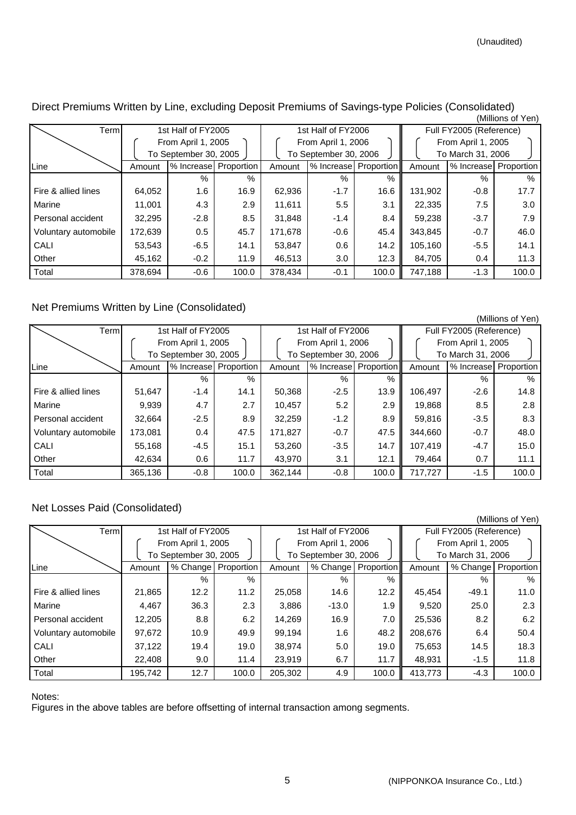| ווסו וט כווטוווועון  |                       |                       |       |         |                       |                       |                    |                         |                       |  |  |
|----------------------|-----------------------|-----------------------|-------|---------|-----------------------|-----------------------|--------------------|-------------------------|-----------------------|--|--|
| Terml                |                       | 1st Half of FY2005    |       |         | 1st Half of FY2006    |                       |                    | Full FY2005 (Reference) |                       |  |  |
|                      | From April 1, 2005    |                       |       |         | From April 1, 2006    |                       | From April 1, 2005 |                         |                       |  |  |
|                      | To September 30, 2005 |                       |       |         | To September 30, 2006 |                       |                    | To March 31, 2006       |                       |  |  |
| Line                 | Amount                | % Increase Proportion |       | Amount  |                       | % Increase Proportion | Amount             |                         | % Increase Proportion |  |  |
|                      |                       | $\%$                  | $\%$  |         | $\%$                  | $\%$                  |                    | $\%$                    | $\%$                  |  |  |
| Fire & allied lines  | 64,052                | 1.6                   | 16.9  | 62,936  | $-1.7$                | 16.6                  | 131,902            | $-0.8$                  | 17.7                  |  |  |
| Marine               | 11.001                | 4.3                   | 2.9   | 11.611  | 5.5                   | 3.1                   | 22,335             | 7.5                     | 3.0                   |  |  |
| Personal accident    | 32.295                | $-2.8$                | 8.5   | 31,848  | $-1.4$                | 8.4                   | 59,238             | $-3.7$                  | 7.9                   |  |  |
| Voluntary automobile | 172,639               | 0.5                   | 45.7  | 171,678 | $-0.6$                | 45.4                  | 343,845            | $-0.7$                  | 46.0                  |  |  |
| CALI                 | 53,543                | $-6.5$                | 14.1  | 53,847  | 0.6                   | 14.2                  | 105,160            | $-5.5$                  | 14.1                  |  |  |
| Other                | 45.162                | $-0.2$                | 11.9  | 46.513  | 3.0                   | 12.3                  | 84.705             | 0.4                     | 11.3                  |  |  |
| Total                | 378,694               | $-0.6$                | 100.0 | 378,434 | $-0.1$                | 100.0                 | 747,188            | $-1.3$                  | 100.0                 |  |  |

#### Direct Premiums Written by Line, excluding Deposit Premiums of Savings-type Policies (Consolidated) (Millions of Yen)

### Net Premiums Written by Line (Consolidated)

|                      |                       |                    |                       |         |                       |       |                         |                       | (Millions of Yen) |  |
|----------------------|-----------------------|--------------------|-----------------------|---------|-----------------------|-------|-------------------------|-----------------------|-------------------|--|
| Terml                |                       | 1st Half of FY2005 |                       |         | 1st Half of FY2006    |       | Full FY2005 (Reference) |                       |                   |  |
|                      | From April 1, 2005    |                    |                       |         | From April 1, 2006    |       |                         | From April 1, 2005    |                   |  |
|                      | To September 30, 2005 |                    |                       |         | To September 30, 2006 |       | To March 31, 2006       |                       |                   |  |
| Line                 | Amount                |                    | % Increase Proportion | Amount  | % Increase Proportion |       | Amount                  | % Increase Proportion |                   |  |
|                      |                       | $\%$               | %                     |         | $\%$                  | $\%$  |                         | $\%$                  | $\%$              |  |
| Fire & allied lines  | 51,647                | $-1.4$             | 14.1                  | 50,368  | $-2.5$                | 13.9  | 106,497                 | $-2.6$                | 14.8              |  |
| Marine               | 9,939                 | 4.7                | 2.7                   | 10,457  | 5.2                   | 2.9   | 19,868                  | 8.5                   | 2.8               |  |
| Personal accident    | 32,664                | $-2.5$             | 8.9                   | 32,259  | $-1.2$                | 8.9   | 59,816                  | $-3.5$                | 8.3               |  |
| Voluntary automobile | 173.081               | 0.4                | 47.5                  | 171,827 | $-0.7$                | 47.5  | 344,660                 | $-0.7$                | 48.0              |  |
| CALI                 | 55,168                | $-4.5$             | 15.1                  | 53,260  | $-3.5$                | 14.7  | 107.419                 | $-4.7$                | 15.0              |  |
| Other                | 42,634                | 0.6                | 11.7                  | 43.970  | 3.1                   | 12.1  | 79.464                  | 0.7                   | 11.1              |  |
| Total                | 365,136               | $-0.8$             | 100.0                 | 362.144 | $-0.8$                | 100.0 | 717.727                 | $-1.5$                | 100.0             |  |

# Net Losses Paid (Consolidated)

|                      |                                             |                    |                       |         |                       |                   |                         |                   | (Millions of Yen)     |  |
|----------------------|---------------------------------------------|--------------------|-----------------------|---------|-----------------------|-------------------|-------------------------|-------------------|-----------------------|--|
| Term                 |                                             | 1st Half of FY2005 |                       |         | 1st Half of FY2006    |                   | Full FY2005 (Reference) |                   |                       |  |
|                      | From April 1, 2005<br>To September 30, 2005 |                    |                       |         | From April 1, 2006    |                   | From April 1, 2005      |                   |                       |  |
|                      |                                             |                    |                       |         | To September 30, 2006 |                   |                         | To March 31, 2006 |                       |  |
| Line                 | Amount                                      |                    | % Change   Proportion | Amount  | % Change              | <b>Proportion</b> | Amount                  |                   | % Change   Proportion |  |
|                      |                                             | $\%$               | %                     |         | $\%$                  | $\%$              |                         | %                 | $\%$                  |  |
| Fire & allied lines  | 21,865                                      | 12.2               | 11.2                  | 25,058  | 14.6                  | 12.2              | 45,454                  | $-49.1$           | 11.0                  |  |
| Marine               | 4.467                                       | 36.3               | 2.3                   | 3,886   | $-13.0$               | 1.9               | 9,520                   | 25.0              | 2.3                   |  |
| Personal accident    | 12,205                                      | 8.8                | 6.2                   | 14,269  | 16.9                  | 7.0               | 25,536                  | 8.2               | 6.2                   |  |
| Voluntary automobile | 97,672                                      | 10.9               | 49.9                  | 99.194  | 1.6                   | 48.2              | 208.676                 | 6.4               | 50.4                  |  |
| CALI                 | 37,122                                      | 19.4               | 19.0                  | 38,974  | 5.0                   | 19.0              | 75,653                  | 14.5              | 18.3                  |  |
| Other                | 22,408                                      | 9.0                | 11.4                  | 23,919  | 6.7                   | 11.7              | 48.931                  | $-1.5$            | 11.8                  |  |
| Total                | 195,742                                     | 12.7               | 100.0                 | 205.302 | 4.9                   | 100.0             | 413.773                 | $-4.3$            | 100.0                 |  |

#### Notes:

Figures in the above tables are before offsetting of internal transaction among segments.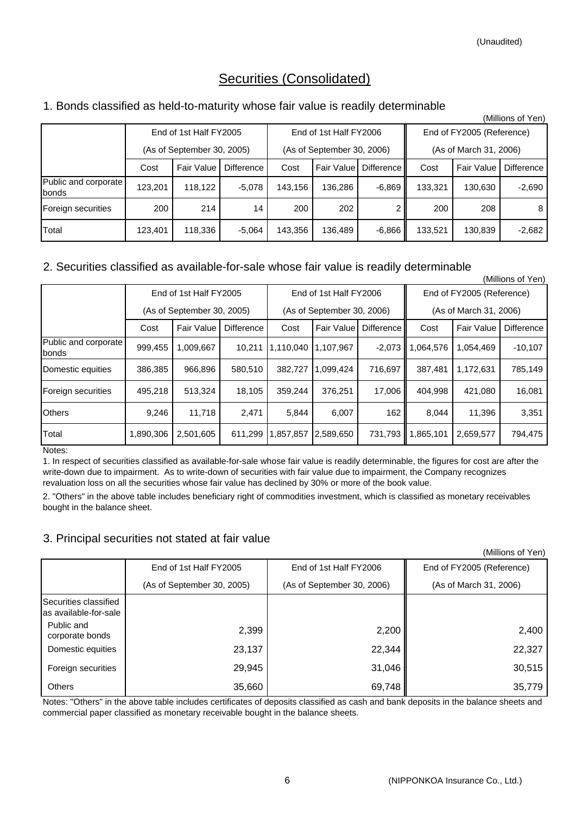# Securities (Consolidated)

# 1. Bonds classified as held-to-maturity whose fair value is readily determinable

|                                      | (Millions of Yen)          |            |            |                            |                        |            |                           |            |                   |  |  |
|--------------------------------------|----------------------------|------------|------------|----------------------------|------------------------|------------|---------------------------|------------|-------------------|--|--|
|                                      | End of 1st Half FY2005     |            |            |                            | End of 1st Half FY2006 |            | End of FY2005 (Reference) |            |                   |  |  |
|                                      | (As of September 30, 2005) |            |            | (As of September 30, 2006) |                        |            | (As of March 31, 2006)    |            |                   |  |  |
|                                      | Cost                       | Fair Value | Difference | Cost                       | Fair Value             | Difference | Cost                      | Fair Value | <b>Difference</b> |  |  |
| Public and corporate<br><b>bonds</b> | 123,201                    | 118.122    | $-5,078$   | 143,156                    | 136,286                | $-6,869$   | 133,321                   | 130,630    | $-2,690$          |  |  |
| Foreign securities                   | 200                        | 214        | 14         | 200                        | 202                    |            | 200                       | 208        | 8                 |  |  |
| Total                                | 123,401                    | 118,336    | $-5,064$   | 143,356                    | 136,489                | $-6,866$   | 133,521                   | 130,839    | $-2,682$          |  |  |

# 2. Securities classified as available-for-sale whose fair value is readily determinable

|                               | (Millions of Yen)          |                        |            |           |                            |            |                     |                           |                   |  |
|-------------------------------|----------------------------|------------------------|------------|-----------|----------------------------|------------|---------------------|---------------------------|-------------------|--|
|                               |                            | End of 1st Half FY2005 |            |           | End of 1st Half FY2006     |            |                     | End of FY2005 (Reference) |                   |  |
|                               | (As of September 30, 2005) |                        |            |           | (As of September 30, 2006) |            |                     | (As of March 31, 2006)    |                   |  |
|                               | Cost                       | Fair Value             | Difference | Cost      | Fair Value                 | Difference | Cost                | <b>Fair Value</b>         | <b>Difference</b> |  |
| Public and corporate<br>bonds | 999,455                    | 1,009,667              | 10.211     | 1,110,040 | 1,107,967                  | $-2,073$   | 1,064,576           | 1,054,469                 | $-10,107$         |  |
| Domestic equities             | 386.385                    | 966.896                | 580.510    | 382.727   | 1.099.424                  | 716,697    | 387.481             | 1,172,631                 | 785,149           |  |
| Foreign securities            | 495,218                    | 513,324                | 18,105     | 359,244   | 376,251                    | 17,006     | 404.998             | 421.080                   | 16,081            |  |
| <b>Others</b>                 | 9.246                      | 11,718                 | 2,471      | 5.844     | 6,007                      | 162        | 8,044               | 11.396                    | 3,351             |  |
| Total                         | 1,890,306                  | 2,501,605              | 611,299    | ,857,857  | 2,589,650                  |            | 731,793   1,865,101 | 2,659,577                 | 794,475           |  |

Notes:

1. In respect of securities classified as available-for-sale whose fair value is readily determinable, the figures for cost are after the write-down due to impairment. As to write-down of securities with fair value due to impairment, the Company recognizes revaluation loss on all the securities whose fair value has declined by 30% or more of the book value.

2. "Others" in the above table includes beneficiary right of commodities investment, which is classified as monetary receivables bought in the balance sheet.

# 3. Principal securities not stated at fair value

(Millions of Yen)

|                                                | End of 1st Half FY2005     | End of 1st Half FY2006     | End of FY2005 (Reference) |  |  |
|------------------------------------------------|----------------------------|----------------------------|---------------------------|--|--|
|                                                | (As of September 30, 2005) | (As of September 30, 2006) | (As of March 31, 2006)    |  |  |
| Securities classified<br>as available-for-sale |                            |                            |                           |  |  |
| Public and<br>corporate bonds                  | 2,399                      | 2,200                      | 2,400                     |  |  |
| Domestic equities                              | 23,137                     | 22,344                     | 22,327                    |  |  |
| Foreign securities                             | 29,945                     | 31,046                     | 30,515                    |  |  |
| <b>Others</b>                                  | 35,660                     | 69,748                     | 35,779                    |  |  |

Notes: "Others" in the above table includes certificates of deposits classified as cash and bank deposits in the balance sheets and commercial paper classified as monetary receivable bought in the balance sheets.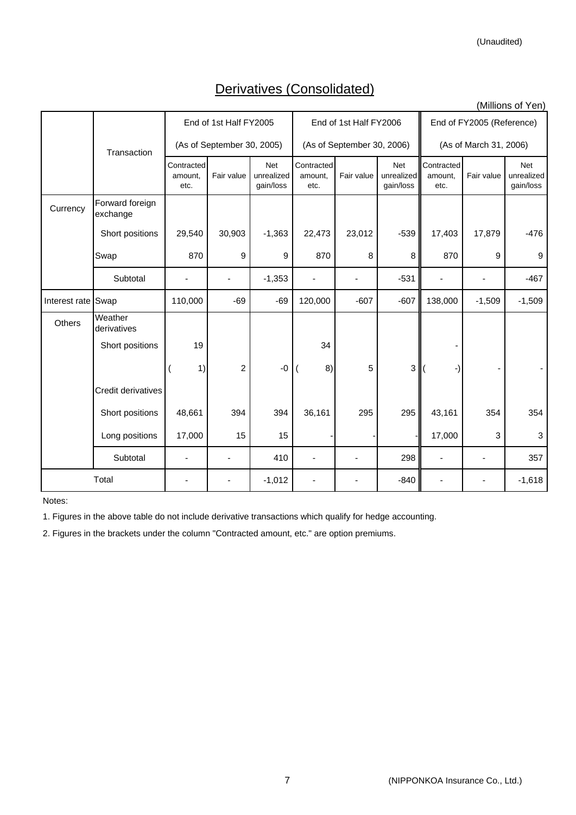# Derivatives (Consolidated)

(Millions of Yen)

|                    |                             |                               |                |                                       |                               |                            |                                       | ווס ו וט פווטוווועו)          |            |                                       |
|--------------------|-----------------------------|-------------------------------|----------------|---------------------------------------|-------------------------------|----------------------------|---------------------------------------|-------------------------------|------------|---------------------------------------|
|                    |                             | End of 1st Half FY2005        |                |                                       |                               | End of 1st Half FY2006     |                                       | End of FY2005 (Reference)     |            |                                       |
|                    | Transaction                 | (As of September 30, 2005)    |                |                                       |                               | (As of September 30, 2006) |                                       | (As of March 31, 2006)        |            |                                       |
|                    |                             | Contracted<br>amount,<br>etc. | Fair value     | <b>Net</b><br>unrealized<br>gain/loss | Contracted<br>amount,<br>etc. | Fair value                 | <b>Net</b><br>unrealized<br>gain/loss | Contracted<br>amount.<br>etc. | Fair value | <b>Net</b><br>unrealized<br>gain/loss |
| Currency           | Forward foreign<br>exchange |                               |                |                                       |                               |                            |                                       |                               |            |                                       |
|                    | Short positions             | 29,540                        | 30,903         | $-1,363$                              | 22,473                        | 23,012                     | $-539$                                | 17,403                        | 17,879     | $-476$                                |
|                    | Swap                        | 870                           | 9              | 9                                     | 870                           | 8                          | 8                                     | 870                           | 9          | 9                                     |
|                    | Subtotal                    |                               |                | $-1,353$                              |                               |                            | $-531$                                |                               |            | $-467$                                |
| Interest rate Swap |                             | 110,000                       | $-69$          | $-69$                                 | 120,000                       | $-607$                     | $-607$                                | 138,000                       | $-1,509$   | $-1,509$                              |
| Others             | Weather<br>derivatives      |                               |                |                                       |                               |                            |                                       |                               |            |                                       |
|                    | Short positions             | 19                            |                |                                       | 34                            |                            |                                       |                               |            |                                       |
|                    |                             | 1)                            | $\overline{c}$ | -0                                    | 8)                            | 5                          | 3                                     | -)                            |            |                                       |
| Credit derivatives |                             |                               |                |                                       |                               |                            |                                       |                               |            |                                       |
|                    | Short positions             | 48,661                        | 394            | 394                                   | 36,161                        | 295                        | 295                                   | 43,161                        | 354        | 354                                   |
|                    | Long positions              | 17,000                        | 15             | 15                                    |                               |                            |                                       | 17,000                        | 3          | 3                                     |
|                    | Subtotal                    |                               |                | 410                                   | ÷                             |                            | 298                                   |                               |            | 357                                   |
|                    | Total                       |                               |                | $-1,012$                              |                               |                            | $-840$                                |                               |            | $-1,618$                              |

Notes:

1. Figures in the above table do not include derivative transactions which qualify for hedge accounting.

2. Figures in the brackets under the column "Contracted amount, etc." are option premiums.